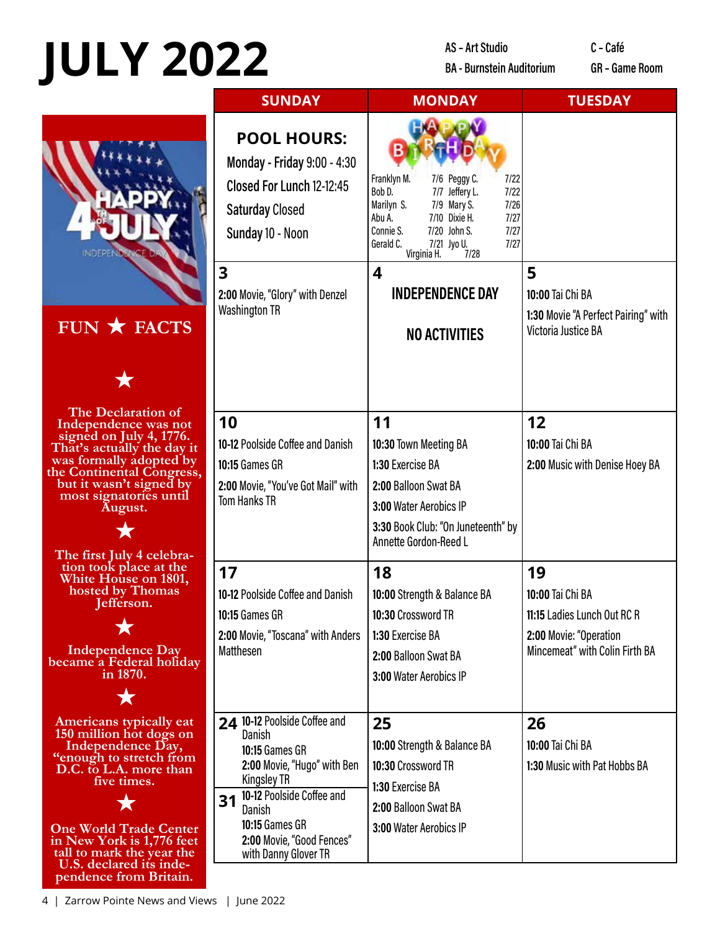## **JULY 2022**

**AS-Art Studio BA - Burnstein Auditorium**  C - Café

**GR** - Game Room



| <b>SUNDAY</b>                                                                                                                                                                                                                     | <b>MONDAY</b>                                                                                                                                                                                                                                   | <b>TUESDAY</b>                                                                                                    |
|-----------------------------------------------------------------------------------------------------------------------------------------------------------------------------------------------------------------------------------|-------------------------------------------------------------------------------------------------------------------------------------------------------------------------------------------------------------------------------------------------|-------------------------------------------------------------------------------------------------------------------|
| <b>POOL HOURS:</b><br>Monday - Friday 9:00 - 4:30<br>Closed For Lunch 12-12:45<br><b>Saturday Closed</b><br>Sunday 10 - Noon                                                                                                      | Franklyn M.<br>7/6 Peggy C.<br>7/22<br>Bob D.<br>7/7 Jeffery L.<br>7/22<br>Marilyn S.<br>7/9 Mary S.<br>7/26<br>7/10 Dixie H.<br>7/27<br>Abu A.<br>Connie S.<br>7/20 John S.<br>7/27<br>Gerald C.<br>7/21 Jyo U.<br>7/27<br>Virginia H.<br>7/28 |                                                                                                                   |
| :00 Movie, "Glory" with Denzel<br>/ashington TR                                                                                                                                                                                   | 4<br><b>INDEPENDENCE DAY</b><br><b>NO ACTIVITIES</b>                                                                                                                                                                                            | 5<br>10:00 Tai Chi BA<br>1:30 Movie "A Perfect Pairing" with<br>Victoria Justice BA                               |
| $\overline{0}$<br>1-12 Poolside Coffee and Danish<br>):15 Games GR<br>:00 Movie, "You've Got Mail" with<br>om Hanks TR                                                                                                            | 11<br>10:30 Town Meeting BA<br>1:30 Exercise BA<br>2:00 Balloon Swat BA<br>3:00 Water Aerobics IP<br>3:30 Book Club: "On Juneteenth" by<br>Annette Gordon-Reed L                                                                                | 12<br>10:00 Tai Chi BA<br>2:00 Music with Denise Hoey BA                                                          |
| $\overline{7}$<br>0-12 Poolside Coffee and Danish<br>):15 Games GR<br>:00 Movie, "Toscana" with Anders<br>latthesen                                                                                                               | 18<br>10:00 Strength & Balance BA<br>10:30 Crossword TR<br>1:30 Exercise BA<br>2:00 Balloon Swat BA<br>3:00 Water Aerobics IP                                                                                                                   | 19<br>10:00 Tai Chi BA<br>11:15 Ladies Lunch Out RC R<br>2:00 Movie: "Operation<br>Mincemeat" with Colin Firth BA |
| 10-12 Poolside Coffee and<br>Danish<br>10:15 Games GR<br>2:00 Movie, "Hugo" with Ben<br><b>Kingsley TR</b><br>1 10-12 Poolside Coffee and<br><b>Danish</b><br>10:15 Games GR<br>2:00 Movie, "Good Fences"<br>with Danny Glover TR | 25<br>10:00 Strength & Balance BA<br>10:30 Crossword TR<br>1:30 Exercise BA<br>2:00 Balloon Swat BA<br>3:00 Water Aerobics IP                                                                                                                   | 26<br>10:00 Tai Chi BA<br>1:30 Music with Pat Hobbs BA                                                            |

4 | Zarrow Pointe News and Views | June 2022

U.S. declared its independence from Britain.